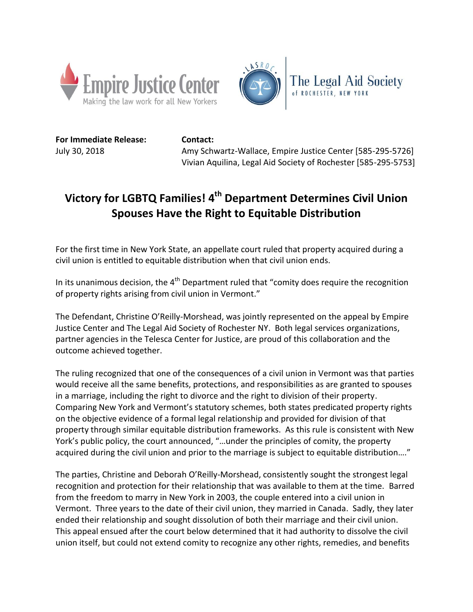



**For Immediate Release: Contact:**

July 30, 2018 Amy Schwartz-Wallace, Empire Justice Center [585-295-5726] Vivian Aquilina, Legal Aid Society of Rochester [585-295-5753]

## **Victory for LGBTQ Families! 4th Department Determines Civil Union Spouses Have the Right to Equitable Distribution**

For the first time in New York State, an appellate court ruled that property acquired during a civil union is entitled to equitable distribution when that civil union ends.

In its unanimous decision, the  $4<sup>th</sup>$  Department ruled that "comity does require the recognition of property rights arising from civil union in Vermont."

The Defendant, Christine O'Reilly-Morshead, was jointly represented on the appeal by Empire Justice Center and The Legal Aid Society of Rochester NY. Both legal services organizations, partner agencies in the Telesca Center for Justice, are proud of this collaboration and the outcome achieved together.

The ruling recognized that one of the consequences of a civil union in Vermont was that parties would receive all the same benefits, protections, and responsibilities as are granted to spouses in a marriage, including the right to divorce and the right to division of their property. Comparing New York and Vermont's statutory schemes, both states predicated property rights on the objective evidence of a formal legal relationship and provided for division of that property through similar equitable distribution frameworks. As this rule is consistent with New York's public policy, the court announced, "…under the principles of comity, the property acquired during the civil union and prior to the marriage is subject to equitable distribution…."

The parties, Christine and Deborah O'Reilly-Morshead, consistently sought the strongest legal recognition and protection for their relationship that was available to them at the time. Barred from the freedom to marry in New York in 2003, the couple entered into a civil union in Vermont. Three years to the date of their civil union, they married in Canada. Sadly, they later ended their relationship and sought dissolution of both their marriage and their civil union. This appeal ensued after the court below determined that it had authority to dissolve the civil union itself, but could not extend comity to recognize any other rights, remedies, and benefits